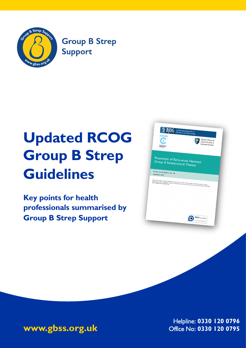

**Group B Strep Support** 

# **Updated R**COG **Group B Strep Guidelines**

**Key points for health professionals summarised by Group B Strep Support**

| yal College o<br>Pos<br>diatrics ar<br>Child Health | <b>BJOG</b> An International Journal of<br>Royal College of<br>Obstetricians &<br>Gynaecologists                                                                                                                                                                                                                                                      |
|-----------------------------------------------------|-------------------------------------------------------------------------------------------------------------------------------------------------------------------------------------------------------------------------------------------------------------------------------------------------------------------------------------------------------|
| Green-top Guideline No. 36                          | Prevention of Early-onset Neonatal<br>Group B Streptococcal Disease                                                                                                                                                                                                                                                                                   |
| September 2017                                      | Means can this pather on Hughes RG, Brooklehurst P, Steer PJ, Heath P, Stenson BM on behalf of the Royal College of<br>, many car and paper, an important that described with the region of the state of the state last was the more than the town more than the complete the Obstance of the more of the more of the more of the more of the more of |
|                                                     |                                                                                                                                                                                                                                                                                                                                                       |
|                                                     |                                                                                                                                                                                                                                                                                                                                                       |



Helpline: 0330 120 0796 Office No: 0330 120 0795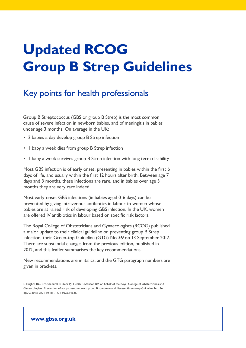## Updated RCOG Group B Strep Guidelines

## Key points for health professionals

Group B Streptococcus (GBS or group B Strep) is the most common cause of severe infection in newborn babies, and of meningitis in babies under age 3 months. On average in the UK:

- 2 babies a day develop group B Strep infection
- 1 baby a week dies from group B Strep infection
- 1 baby a week survives group B Strep infection with long term disability

Most GBS infection is of early onset, presenting in babies within the first 6 days of life, and usually within the first 12 hours after birth. Between age 7 days and 3 months, these infections are rare, and in babies over age 3 months they are very rare indeed.

Most early-onset GBS infections (in babies aged 0-6 days) can be prevented by giving intravenous antibiotics in labour to women whose babies are at raised risk of developing GBS infection. In the UK, women are offered IV antibiotics in labour based on specific risk factors.

The Royal College of Obstetricians and Gynaecologists (RCOG) published a major update to their clinical guideline on preventing group B Strep infection, their Green-top Guideline (GTG) No  $36<sup>1</sup>$  on 13 September 2017. There are substantial changes from the previous edition, published in 2012, and this leaflet summarises the key recommendations.

New recommendations are in italics, and the GTG paragraph numbers are given in brackets.

1. Hughes RG, Brocklehurst P, Steer PJ, Heath P, Stenson BM on behalf of the Royal College of Obstetricians and Gynaecologists. Prevention of early-onset neonatal group B streptococcal disease. Green-top Guideline No. 36. BIOG 2017; DOI: 10.1111/1471-0528.14821.

#### **www.gbss.org.uk**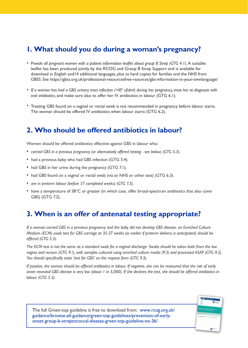## I. What should you do during a woman's pregnancy?

- Provide all pregnant women with a patient information leaflet about group B Strep (GTG 4.1). A suitable leaflet has been produced jointly by the RCOG and Group B Strep Support and is available for download in English and 14 additional languages, plus as hard copies for families and the NHS from GBSS. See https://gbss.org.uk/professional-resourcesfree-rsources/gbs-information-in-your-ownlanguage/
- If a woman has had a GBS urinary tract infection  $(>10^5 \text{ cfullm})$  during her pregnancy, treat her at diagnosis with oral antibiotics, and make sure also to offer her IV antibiotics in labour (GTG 6.1).
- Treating GBS found on a vaginal or rectal swab is not recommended in pregnancy before labour starts. The woman should be offered IV antibiotics when labour starts (GTG 6.2).

## 2. Who should be offered antibiotics in labour?

Women should be offered antibiotics effective against GBS in labour who:

- carried GBS in a previous pregnancy (or alternatively offered testing see below) (GTG 5.3).
- had a previous baby who had GBS infection (GTG 5.4).
- had GBS in her urine during the pregnancy (GTG 7.1).
- had GBS found on a vaginal or rectal swab (via an NHS or other test) (GTG 6.3).
- are in preterm labour (before 37 completed weeks) (GTG 7.3).
- have a temperature of 38°C or greater (in which case, offer broad-spectrum antibiotics that also cover GBS) (GTG 7.2).

### 3. When is an offer of antenatal testing appropriate?

If a woman carried GBS in a previous pregnancy and the baby did not develop GBS disease, an Enriched Culture Medium (ECM) swab test for GBS carriage at 35-37 weeks (or earlier if preterm delivery is anticipated) should be offered (GTG 5.3).

The ECM test is not the same as a standard swab for a vaginal discharge. Swabs should be taken both from the low vagina and rectum (GTG 9.1), with samples cultured using enriched culture media (9.3) and processed ASAP (GTG 9.2). You should specifically state 'test for GBS' on the request form (GTG 9.3).

If positive, the woman should be offered antibiotics in labour. If negative, she can be reassured that the risk of early onset neonatal GBS disease is very low (about 1 in 5,000). If she declines the test, she should be offered antibiotics in labour (GTG 5.3).

> *<u>Finald</u>*<br>Giuse  $\Omega$

The full Green-top guideline is free to download from: www.rcog.org.uk/ guidance/browse-all-guidance/green-top-guidelines/prevention-of-earlyonset-group-b-streptococcal-disease-green-top-guideline-no-36/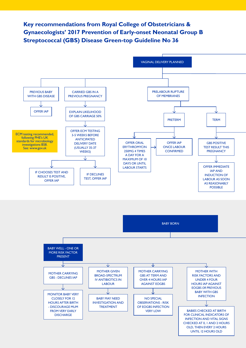### Key recommendations from Royal College of Obstetricians & **Gynaecologists' 2017 Prevention of Early-onset Neonatal Group B Streptococcal (GBS) Disease Green-top Guideline No 36**



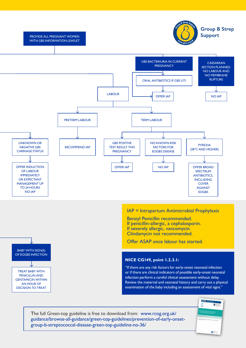

PROVIDE ALL PREGNANT WOMEN WITH GBS INFORMATION LEAFLET

BABY WITH SIGN(S) OF EOGBS INFECTION

TREAT BABY WITH PENICILLIN AND GENTAMICIN WITHIN AN HOUR OF DECISION TO TREAT



Offer ASAP once labour has started.

#### **NICE CG149, point 1.2.3.1:**

"If there are any risk factors for early-onset neonatal infection or if there are clinical indicators of possible early-onset neonatal infection perform a careful clinical assessment without delay. Review the maternal and neonatal history and carry out a physical examination of the baby including an assessment of vital signs."

The full Green-top guideline is free to download from: www.rcog.org.uk/ [guidance/browse-all-guidance/green-top-guidelines/prevention-of-early-onset](https://www.rcog.org.uk/guidance/browse-all-guidance/green-top-guidelines/prevention-of-early-onset-group-b-streptococcal-disease-green-top-guideline-no-36/)group-b-streptococcal-disease-green-top-guideline-no-36/

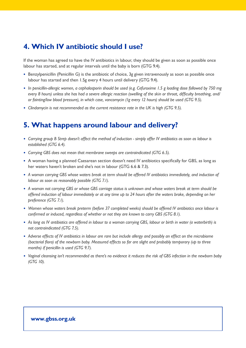## **4. Which IV antibiotic should I use?**

If the woman has agreed to have the IV antibiotics in labour, they should be given as soon as possible once labour has started, and at regular intervals until the baby is born (GTG 9.4).

- Benzylpenicillin (Penicillin G) is the antibiotic of choice, 3g given intravenously as soon as possible once labour has started and then 1.5g every 4 hours until delivery (GTG 9.4).
- In penicillin-allergic women, a cephalosporin should be used (e.g. Cefuroxime 1.5 g loading dose followed by 750 mg *every 8 hours) unless she has had a severe allergic reaction (swelling of the skin or throat, difficulty breathing, and/* or fainting/low blood pressure), in which case, vancomycin (1g every 12 hours) should be used (GTG 9.5).
- *Clindamycin is not recommended as the current resistance rate in the UK is high (GTG 9.5).*

## **5. What happens around labour and delivery?**

- Carrying group B Strep doesn't affect the method of induction simply offer IV antibiotics as soon as labour is established (GTG 6.4).
- *Carrying GBS does not mean that membrane sweeps are contraindicated (GTG 6.5).*
- A woman having a planned Caesarean section doesn't need IV antibiotics specifically for GBS, as long as her waters haven't broken and she's not in labour (GTG 6.6 & 7.3).
- A woman carrying GBS whose waters break at term should be offered IV antibiotics immediately, and induction of *labour as soon as reasonably possible (GTG 7.1).*
- A woman not carrying GBS or whose GBS carriage status is unknown and whose waters break at term should be offered induction of labour immediately or at any time up to 24 hours after the waters broke, depending on her *preference (GTG 7.1).*
- Women whose waters break preterm (before 37 completed weeks) should be offered IV antibiotics once labour is confirmed or induced, regardless of whether or not they are known to carry GBS (GTG 8.1).
- As long as IV antibiotics are offered in labour to a woman carrying GBS, labour or birth in water (a waterbirth) is not contraindicated (GTG 7.5).
- Adverse effects of IV antibiotics in labour are rare but include allergy and possibly an effect on the microbiome (bacterial flora) of the newborn baby. Measured effects so far are slight and probably temporary (up to three *PROPING PROPINGI PROPINGIIIn is used (GTG 9.7).*
- Vaginal cleansing isn't recommended as there's no evidence it reduces the risk of GBS infection in the newborn baby *(GTG 10).*

#### **www.gbss.org.uk**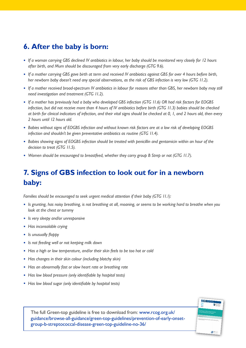## **6. After the baby is born:**

- If a woman carrying GBS declined IV antibiotics in labour, her baby should be monitored very closely for 12 hours after birth, and Mum should be discouraged from very early discharge (GTG 9.6).
- If a mother carrying GBS gave birth at term and received IV antibiotics against GBS for over 4 hours before birth, her newborn baby doesn't need any special observations, as the risk of GBS infection is very low (GTG 11.2).
- If a mother received broad-spectrum IV antibiotics in labour for reasons other than GBS, her newborn baby may still *need investigation and treatment (GTG 11.2).*
- If a mother has previously had a baby who developed GBS infection (GTG 11.6) OR had risk factors for EOGBS infection, but did not receive more than 4 hours of IV antibiotics before birth (GTG 11.3) babies should be checked at birth for clinical indicators of infection, and their vital signs should be checked at 0, 1, and 2 hours old, then every 2 hours until 12 hours old.
- Babies without signs of EOGBS infection and without known risk factors are at a low risk of developing EOGBS infection and shouldn't be given preventative antibiotics as routine (GTG 11.4).
- Babies showing signs of EOGBS infection should be treated with penicillin and gentamicin within an hour of the decision to treat (GTG 11.5).
- Women should be encouraged to breastfeed, whether they carry group B Strep or not (GTG 11.7).

## **7. Signs of GBS infection to look out for in a newborn baby:**

Families should be encouraged to seek urgent medical attention if their baby (GTG 11.1):

- Is grunting, has noisy breathing, is not breathing at all, moaning, or seems to be working hard to breathe when you look at the chest or tummy
- *Is very sleepy and/or unresponsive*
- Has inconsolable crying
- *Is unusually floppy*
- *Is not feeding well or not keeping milk down*
- Has a high or low temperature, and/or their skin feels to be too hot or cold
- Has changes in their skin colour (including blotchy skin)
- Has an abnormally fast or slow heart rate or breathing rate
- Has low blood pressure (only identifiable by hospital tests)
- Has low blood sugar (only identifiable by hospital tests)